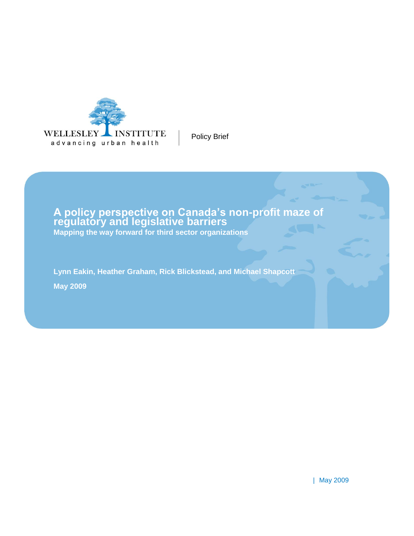

Policy Brief

## **A policy perspective on Canada's non-profit maze of regulatory and legislative barriers Mapping the way forward for third sector organizations**

**Lynn Eakin, Heather Graham, Rick Blickstead, and Michael Shapcott May 2009**

| May 2009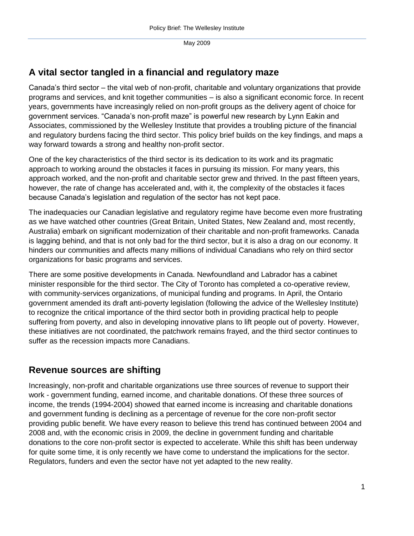# **A vital sector tangled in a financial and regulatory maze**

Canada's third sector – the vital web of non-profit, charitable and voluntary organizations that provide programs and services, and knit together communities – is also a significant economic force. In recent years, governments have increasingly relied on non-profit groups as the delivery agent of choice for government services. "Canada's non-profit maze" is powerful new research by Lynn Eakin and Associates, commissioned by the Wellesley Institute that provides a troubling picture of the financial and regulatory burdens facing the third sector. This policy brief builds on the key findings, and maps a way forward towards a strong and healthy non-profit sector.

One of the key characteristics of the third sector is its dedication to its work and its pragmatic approach to working around the obstacles it faces in pursuing its mission. For many years, this approach worked, and the non-profit and charitable sector grew and thrived. In the past fifteen years, however, the rate of change has accelerated and, with it, the complexity of the obstacles it faces because Canada's legislation and regulation of the sector has not kept pace.

The inadequacies our Canadian legislative and regulatory regime have become even more frustrating as we have watched other countries (Great Britain, United States, New Zealand and, most recently, Australia) embark on significant modernization of their charitable and non-profit frameworks. Canada is lagging behind, and that is not only bad for the third sector, but it is also a drag on our economy. It hinders our communities and affects many millions of individual Canadians who rely on third sector organizations for basic programs and services.

There are some positive developments in Canada. Newfoundland and Labrador has a cabinet minister responsible for the third sector. The City of Toronto has completed a co-operative review, with community-services organizations, of municipal funding and programs. In April, the Ontario government amended its draft anti-poverty legislation (following the advice of the Wellesley Institute) to recognize the critical importance of the third sector both in providing practical help to people suffering from poverty, and also in developing innovative plans to lift people out of poverty. However, these initiatives are not coordinated, the patchwork remains frayed, and the third sector continues to suffer as the recession impacts more Canadians.

## **Revenue sources are shifting**

Increasingly, non-profit and charitable organizations use three sources of revenue to support their work - government funding, earned income, and charitable donations. Of these three sources of income, the trends (1994-2004) showed that earned income is increasing and charitable donations and government funding is declining as a percentage of revenue for the core non-profit sector providing public benefit. We have every reason to believe this trend has continued between 2004 and 2008 and, with the economic crisis in 2009, the decline in government funding and charitable donations to the core non-profit sector is expected to accelerate. While this shift has been underway for quite some time, it is only recently we have come to understand the implications for the sector. Regulators, funders and even the sector have not yet adapted to the new reality.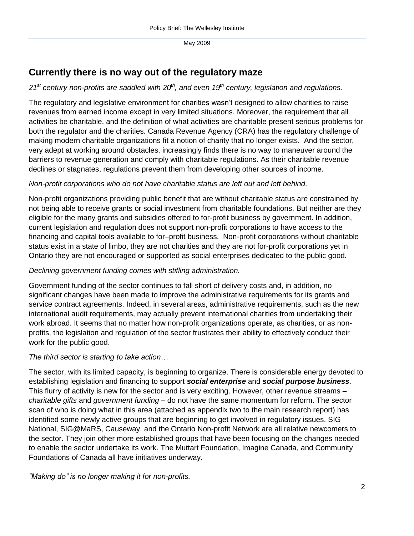# **Currently there is no way out of the regulatory maze**

## *21st century non-profits are saddled with 20th, and even 19th century, legislation and regulations.*

The regulatory and legislative environment for charities wasn't designed to allow charities to raise revenues from earned income except in very limited situations. Moreover, the requirement that all activities be charitable, and the definition of what activities are charitable present serious problems for both the regulator and the charities. Canada Revenue Agency (CRA) has the regulatory challenge of making modern charitable organizations fit a notion of charity that no longer exists. And the sector, very adept at working around obstacles, increasingly finds there is no way to maneuver around the barriers to revenue generation and comply with charitable regulations. As their charitable revenue declines or stagnates, regulations prevent them from developing other sources of income.

### *Non-profit corporations who do not have charitable status are left out and left behind.*

Non-profit organizations providing public benefit that are without charitable status are constrained by not being able to receive grants or social investment from charitable foundations. But neither are they eligible for the many grants and subsidies offered to for-profit business by government. In addition, current legislation and regulation does not support non-profit corporations to have access to the financing and capital tools available to for–profit business. Non-profit corporations without charitable status exist in a state of limbo, they are not charities and they are not for-profit corporations yet in Ontario they are not encouraged or supported as social enterprises dedicated to the public good.

#### *Declining government funding comes with stifling administration.*

Government funding of the sector continues to fall short of delivery costs and, in addition, no significant changes have been made to improve the administrative requirements for its grants and service contract agreements. Indeed, in several areas, administrative requirements, such as the new international audit requirements, may actually prevent international charities from undertaking their work abroad. It seems that no matter how non-profit organizations operate, as charities, or as nonprofits, the legislation and regulation of the sector frustrates their ability to effectively conduct their work for the public good.

#### *The third sector is starting to take action…*

The sector, with its limited capacity, is beginning to organize. There is considerable energy devoted to establishing legislation and financing to support *social enterprise* and *social purpose business*. This flurry of activity is new for the sector and is very exciting. However, other revenue streams *charitable gifts* and *government funding* – do not have the same momentum for reform. The sector scan of who is doing what in this area (attached as appendix two to the main research report) has identified some newly active groups that are beginning to get involved in regulatory issues. SIG National, SIG@MaRS, Causeway, and the Ontario Non-profit Network are all relative newcomers to the sector. They join other more established groups that have been focusing on the changes needed to enable the sector undertake its work. The Muttart Foundation, Imagine Canada, and Community Foundations of Canada all have initiatives underway.

*"Making do" is no longer making it for non-profits.*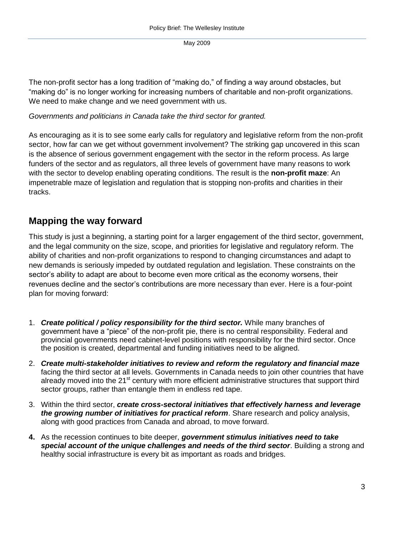The non-profit sector has a long tradition of "making do," of finding a way around obstacles, but "making do" is no longer working for increasing numbers of charitable and non-profit organizations. We need to make change and we need government with us.

*Governments and politicians in Canada take the third sector for granted.*

As encouraging as it is to see some early calls for regulatory and legislative reform from the non-profit sector, how far can we get without government involvement? The striking gap uncovered in this scan is the absence of serious government engagement with the sector in the reform process. As large funders of the sector and as regulators, all three levels of government have many reasons to work with the sector to develop enabling operating conditions. The result is the **non-profit maze**: An impenetrable maze of legislation and regulation that is stopping non-profits and charities in their tracks.

# **Mapping the way forward**

This study is just a beginning, a starting point for a larger engagement of the third sector, government, and the legal community on the size, scope, and priorities for legislative and regulatory reform. The ability of charities and non-profit organizations to respond to changing circumstances and adapt to new demands is seriously impeded by outdated regulation and legislation. These constraints on the sector's ability to adapt are about to become even more critical as the economy worsens, their revenues decline and the sector's contributions are more necessary than ever. Here is a four-point plan for moving forward:

- 1. **Create political / policy responsibility for the third sector.** While many branches of government have a "piece" of the non-profit pie, there is no central responsibility. Federal and provincial governments need cabinet-level positions with responsibility for the third sector. Once the position is created, departmental and funding initiatives need to be aligned.
- 2. *Create multi-stakeholder initiatives to review and reform the regulatory and financial maze* facing the third sector at all levels. Governments in Canada needs to join other countries that have already moved into the  $21^{st}$  century with more efficient administrative structures that support third sector groups, rather than entangle them in endless red tape.
- 3. Within the third sector, *create cross-sectoral initiatives that effectively harness and leverage the growing number of initiatives for practical reform*. Share research and policy analysis, along with good practices from Canada and abroad, to move forward.
- **4.** As the recession continues to bite deeper, *government stimulus initiatives need to take special account of the unique challenges and needs of the third sector*. Building a strong and healthy social infrastructure is every bit as important as roads and bridges.